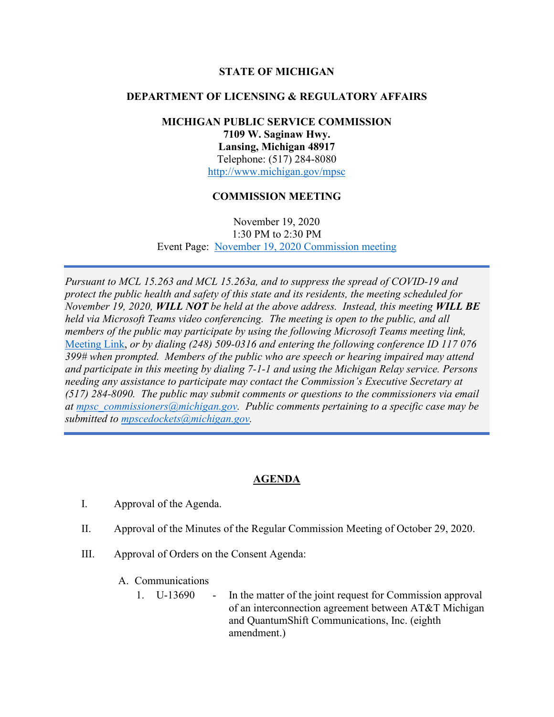### **STATE OF MICHIGAN**

## **DEPARTMENT OF LICENSING & REGULATORY AFFAIRS**

# **MICHIGAN PUBLIC SERVICE COMMISSION 7109 W. Saginaw Hwy. Lansing, Michigan 48917** Telephone: (517) 284-8080 <http://www.michigan.gov/mpsc>

## **COMMISSION MEETING**

November 19, 2020 1:30 PM to 2:30 PM Event Page: [November 19, 2020 Commission meeting](https://bit.ly/3f4ynSB)

*Pursuant to MCL 15.263 and MCL 15.263a, and to suppress the spread of COVID-19 and protect the public health and safety of this state and its residents, the meeting scheduled for November 19, 2020, WILL NOT be held at the above address. Instead, this meeting WILL BE held via Microsoft Teams video conferencing. The meeting is open to the public, and all members of the public may participate by using the following Microsoft Teams meeting link,* [Meeting Link,](https://bit.ly/3f8Kzlo) *or by dialing (248) 509-0316 and entering the following conference ID 117 076 399# when prompted. Members of the public who are speech or hearing impaired may attend and participate in this meeting by dialing 7-1-1 and using the Michigan Relay service. Persons needing any assistance to participate may contact the Commission's Executive Secretary at (517) 284-8090. The public may submit comments or questions to the commissioners via email at [mpsc\\_commissioners@michigan.gov.](mailto:mpsc_commissioners@michigan.gov) Public comments pertaining to a specific case may be submitted to [mpscedockets@michigan.gov.](mailto:mpscedockets@michigan.gov)*

### **AGENDA**

- I. Approval of the Agenda.
- II. Approval of the Minutes of the Regular Commission Meeting of October 29, 2020.
- III. Approval of Orders on the Consent Agenda:
	- A. Communications
		- 1. U-13690 In the matter of the joint request for Commission approval of an interconnection agreement between AT&T Michigan and QuantumShift Communications, Inc. (eighth amendment.)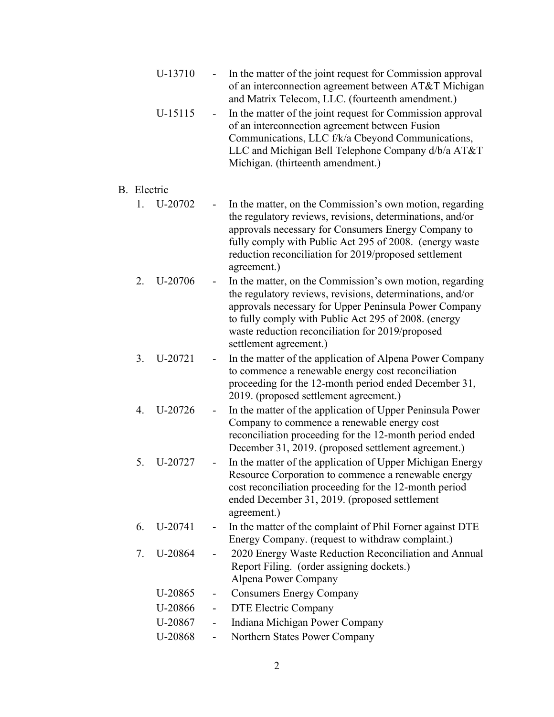|             | U-13710 |                          | In the matter of the joint request for Commission approval<br>of an interconnection agreement between AT&T Michigan<br>and Matrix Telecom, LLC. (fourteenth amendment.)                                                                                                                                              |
|-------------|---------|--------------------------|----------------------------------------------------------------------------------------------------------------------------------------------------------------------------------------------------------------------------------------------------------------------------------------------------------------------|
|             | U-15115 | Ξ.                       | In the matter of the joint request for Commission approval<br>of an interconnection agreement between Fusion<br>Communications, LLC f/k/a Cbeyond Communications,<br>LLC and Michigan Bell Telephone Company d/b/a AT&T<br>Michigan. (thirteenth amendment.)                                                         |
| B. Electric |         |                          |                                                                                                                                                                                                                                                                                                                      |
| $1_{-}$     | U-20702 |                          | In the matter, on the Commission's own motion, regarding<br>the regulatory reviews, revisions, determinations, and/or<br>approvals necessary for Consumers Energy Company to<br>fully comply with Public Act 295 of 2008. (energy waste<br>reduction reconciliation for 2019/proposed settlement<br>agreement.)      |
| 2.          | U-20706 |                          | In the matter, on the Commission's own motion, regarding<br>the regulatory reviews, revisions, determinations, and/or<br>approvals necessary for Upper Peninsula Power Company<br>to fully comply with Public Act 295 of 2008. (energy<br>waste reduction reconciliation for 2019/proposed<br>settlement agreement.) |
| 3.          | U-20721 | $\overline{\phantom{0}}$ | In the matter of the application of Alpena Power Company<br>to commence a renewable energy cost reconciliation<br>proceeding for the 12-month period ended December 31,<br>2019. (proposed settlement agreement.)                                                                                                    |
| 4.          | U-20726 | -                        | In the matter of the application of Upper Peninsula Power<br>Company to commence a renewable energy cost<br>reconciliation proceeding for the 12-month period ended<br>December 31, 2019. (proposed settlement agreement.)                                                                                           |
| 5.          | U-20727 |                          | In the matter of the application of Upper Michigan Energy<br>Resource Corporation to commence a renewable energy<br>cost reconciliation proceeding for the 12-month period<br>ended December 31, 2019. (proposed settlement<br>agreement.)                                                                           |
| 6.          | U-20741 |                          | In the matter of the complaint of Phil Forner against DTE<br>Energy Company. (request to withdraw complaint.)                                                                                                                                                                                                        |
| 7.          | U-20864 |                          | 2020 Energy Waste Reduction Reconciliation and Annual<br>Report Filing. (order assigning dockets.)<br>Alpena Power Company                                                                                                                                                                                           |
|             | U-20865 | -                        | <b>Consumers Energy Company</b>                                                                                                                                                                                                                                                                                      |
|             | U-20866 | $\overline{\phantom{0}}$ | DTE Electric Company                                                                                                                                                                                                                                                                                                 |
|             | U-20867 | $\overline{\phantom{0}}$ | Indiana Michigan Power Company                                                                                                                                                                                                                                                                                       |
|             | U-20868 |                          | Northern States Power Company                                                                                                                                                                                                                                                                                        |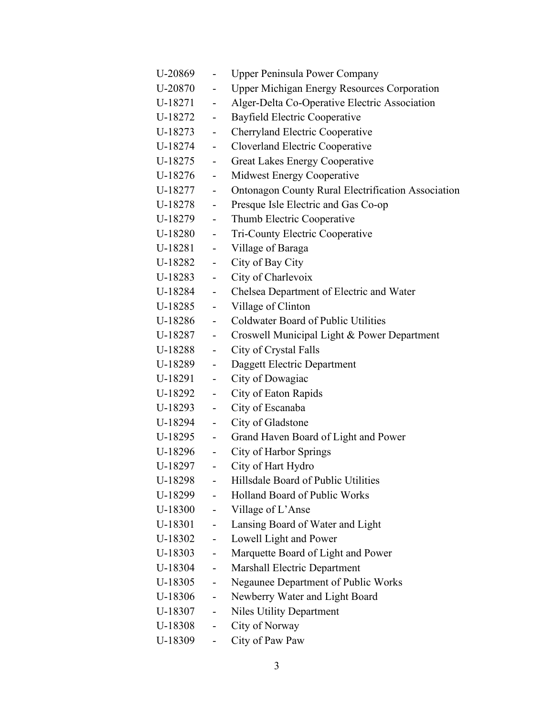| U-20869 | $\overline{\phantom{a}}$     | <b>Upper Peninsula Power Company</b>                      |
|---------|------------------------------|-----------------------------------------------------------|
| U-20870 | $\overline{\phantom{0}}$     | <b>Upper Michigan Energy Resources Corporation</b>        |
| U-18271 | $\overline{\phantom{0}}$     | Alger-Delta Co-Operative Electric Association             |
| U-18272 | $\blacksquare$               | Bayfield Electric Cooperative                             |
| U-18273 | $\qquad \qquad \blacksquare$ | Cherryland Electric Cooperative                           |
| U-18274 | $\overline{\phantom{a}}$     | Cloverland Electric Cooperative                           |
| U-18275 | $\sim$                       | Great Lakes Energy Cooperative                            |
| U-18276 | $\overline{\phantom{0}}$     | Midwest Energy Cooperative                                |
| U-18277 | $\overline{\phantom{a}}$     | <b>Ontonagon County Rural Electrification Association</b> |
| U-18278 | $\omega_{\rm{eff}}$          | Presque Isle Electric and Gas Co-op                       |
| U-18279 | $\blacksquare$               | Thumb Electric Cooperative                                |
| U-18280 | $\overline{\phantom{a}}$     | Tri-County Electric Cooperative                           |
| U-18281 | $\sim$                       | Village of Baraga                                         |
| U-18282 | $\blacksquare$               | City of Bay City                                          |
| U-18283 | $\blacksquare$               | City of Charlevoix                                        |
| U-18284 | $\blacksquare$               | Chelsea Department of Electric and Water                  |
| U-18285 | $\omega_{\rm{max}}$          | Village of Clinton                                        |
| U-18286 | $\sim 100$                   | <b>Coldwater Board of Public Utilities</b>                |
| U-18287 | $\omega_{\rm{max}}$          | Croswell Municipal Light & Power Department               |
| U-18288 | $\blacksquare$               | City of Crystal Falls                                     |
| U-18289 | $\overline{\phantom{a}}$     | Daggett Electric Department                               |
| U-18291 | $\blacksquare$               | City of Dowagiac                                          |
| U-18292 | $\blacksquare$               | City of Eaton Rapids                                      |
| U-18293 | $\overline{\phantom{a}}$     | City of Escanaba                                          |
| U-18294 | $\blacksquare$               | City of Gladstone                                         |
| U-18295 | $\sim$ 10 $\pm$              | Grand Haven Board of Light and Power                      |
| U-18296 | $\overline{\phantom{a}}$     | <b>City of Harbor Springs</b>                             |
| U-18297 | $\overline{a}$               | City of Hart Hydro                                        |
| U-18298 |                              | Hillsdale Board of Public Utilities                       |
| U-18299 | $\overline{\phantom{a}}$     | <b>Holland Board of Public Works</b>                      |
| U-18300 | $\sim$ $-$                   | Village of L'Anse                                         |
| U-18301 | $\frac{1}{2}$                | Lansing Board of Water and Light                          |
| U-18302 | $\overline{\phantom{0}}$     | Lowell Light and Power                                    |
| U-18303 | $\overline{\phantom{a}}$     | Marquette Board of Light and Power                        |
| U-18304 | $\overline{\phantom{a}}$     | <b>Marshall Electric Department</b>                       |
| U-18305 | $\overline{\phantom{a}}$     | Negaunee Department of Public Works                       |
| U-18306 | $\overline{\phantom{a}}$     | Newberry Water and Light Board                            |
| U-18307 | $\blacksquare$               | <b>Niles Utility Department</b>                           |
| U-18308 | $\overline{\phantom{0}}$     | City of Norway                                            |
| U-18309 | Ξ.                           | City of Paw Paw                                           |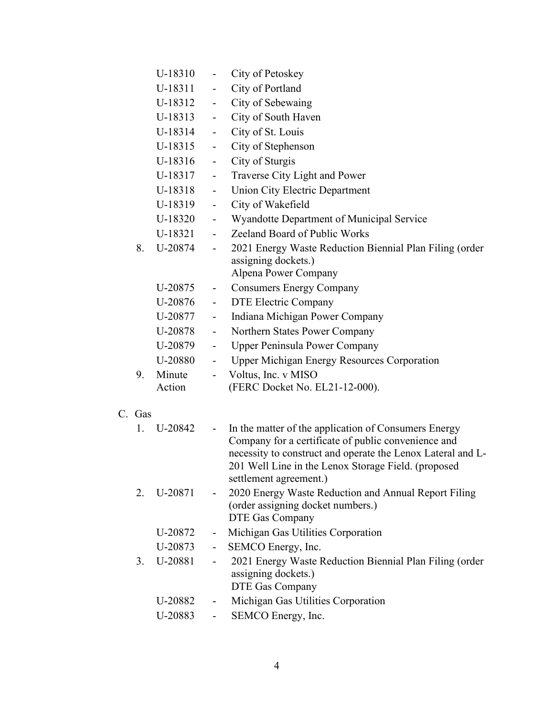|     | U-18310 | $\overline{\phantom{0}}$ | City of Petoskey                                                                                            |
|-----|---------|--------------------------|-------------------------------------------------------------------------------------------------------------|
|     | U-18311 | $\blacksquare$           | City of Portland                                                                                            |
|     | U-18312 | $\blacksquare$           | City of Sebewaing                                                                                           |
|     | U-18313 | ÷.                       | City of South Haven                                                                                         |
|     | U-18314 | ÷,                       | City of St. Louis                                                                                           |
|     | U-18315 | $\blacksquare$           | City of Stephenson                                                                                          |
|     | U-18316 | $\blacksquare$           | City of Sturgis                                                                                             |
|     | U-18317 | $\blacksquare$           | Traverse City Light and Power                                                                               |
|     | U-18318 | $\blacksquare$           | Union City Electric Department                                                                              |
|     | U-18319 | $\mathbf{r}^{\prime}$    | City of Wakefield                                                                                           |
|     | U-18320 | $\blacksquare$           | Wyandotte Department of Municipal Service                                                                   |
|     | U-18321 | $\sim$                   | Zeeland Board of Public Works                                                                               |
| 8.  | U-20874 | $\blacksquare$           | 2021 Energy Waste Reduction Biennial Plan Filing (order                                                     |
|     |         |                          | assigning dockets.)                                                                                         |
|     |         |                          | Alpena Power Company                                                                                        |
|     | U-20875 | н.                       | <b>Consumers Energy Company</b>                                                                             |
|     | U-20876 | $\sim$                   | DTE Electric Company                                                                                        |
|     | U-20877 | $\blacksquare$           | Indiana Michigan Power Company                                                                              |
|     | U-20878 | $\blacksquare$           | Northern States Power Company                                                                               |
|     | U-20879 | $\blacksquare$           | <b>Upper Peninsula Power Company</b>                                                                        |
|     | U-20880 | Ξ.                       | <b>Upper Michigan Energy Resources Corporation</b>                                                          |
| 9.  | Minute  | $\overline{\phantom{0}}$ | Voltus, Inc. v MISO                                                                                         |
|     | Action  |                          | (FERC Docket No. EL21-12-000).                                                                              |
|     |         |                          |                                                                                                             |
| Gas |         |                          |                                                                                                             |
| 1.  | U-20842 | $\sim$                   | In the matter of the application of Consumers Energy<br>Company for a certificate of public convenience and |
|     |         |                          | necessity to construct and operate the Lenox Lateral and L-                                                 |
|     |         |                          | 201 Well Line in the Lenox Storage Field. (proposed                                                         |
|     |         |                          | settlement agreement.)                                                                                      |
| 2.  | U-20871 | Ξ.                       | 2020 Energy Waste Reduction and Annual Report Filing                                                        |
|     |         |                          | (order assigning docket numbers.)                                                                           |
|     |         |                          | DTE Gas Company                                                                                             |
|     | U-20872 |                          | Michigan Gas Utilities Corporation                                                                          |
|     | U-20873 | ۰,                       | SEMCO Energy, Inc.                                                                                          |
| 3.  | U-20881 |                          | 2021 Energy Waste Reduction Biennial Plan Filing (order                                                     |
|     |         |                          | assigning dockets.)                                                                                         |
|     |         |                          | DTE Gas Company                                                                                             |
|     | U-20882 | -                        | Michigan Gas Utilities Corporation                                                                          |
|     | U-20883 |                          | SEMCO Energy, Inc.                                                                                          |

C.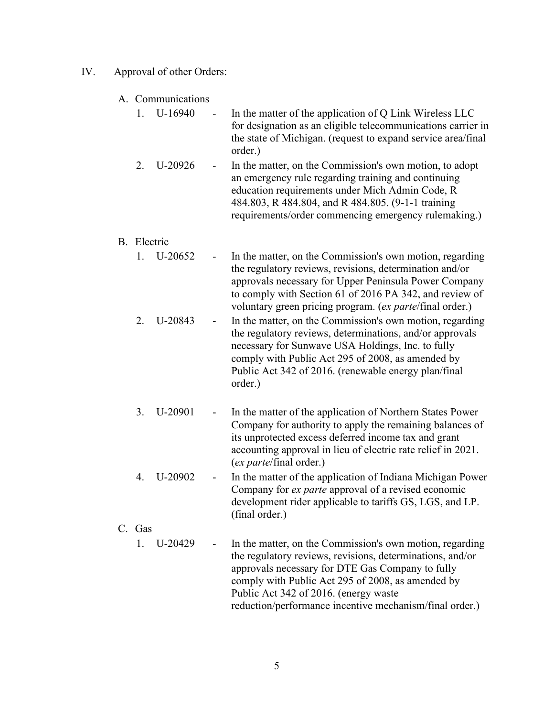#### IV. Approval of other Orders:

#### A. Communications

| 1. U-16940 | $\sim 100$ | In the matter of the application of Q Link Wireless LLC      |
|------------|------------|--------------------------------------------------------------|
|            |            | for designation as an eligible telecommunications carrier in |
|            |            | the state of Michigan. (request to expand service area/final |
|            |            | order.)                                                      |

2. U-20926 - In the matter, on the Commission's own motion, to adopt an emergency rule regarding training and continuing education requirements under Mich Admin Code, R 484.803, R 484.804, and R 484.805. (9-1-1 training requirements/order commencing emergency rulemaking.)

#### B. Electric

- 1. U-20652 In the matter, on the Commission's own motion, regarding the regulatory reviews, revisions, determination and/or approvals necessary for Upper Peninsula Power Company to comply with Section 61 of 2016 PA 342, and review of voluntary green pricing program. (*ex parte*/final order.)
- 2. U-20843 In the matter, on the Commission's own motion, regarding the regulatory reviews, determinations, and/or approvals necessary for Sunwave USA Holdings, Inc. to fully comply with Public Act 295 of 2008, as amended by Public Act 342 of 2016. (renewable energy plan/final order.)
- 3. U-20901 In the matter of the application of Northern States Power Company for authority to apply the remaining balances of its unprotected excess deferred income tax and grant accounting approval in lieu of electric rate relief in 2021. (*ex parte*/final order.)
- 4. U-20902 In the matter of the application of Indiana Michigan Power Company for *ex parte* approval of a revised economic development rider applicable to tariffs GS, LGS, and LP. (final order.)

#### C. Gas

1. U-20429 - In the matter, on the Commission's own motion, regarding the regulatory reviews, revisions, determinations, and/or approvals necessary for DTE Gas Company to fully comply with Public Act 295 of 2008, as amended by Public Act 342 of 2016. (energy waste reduction/performance incentive mechanism/final order.)